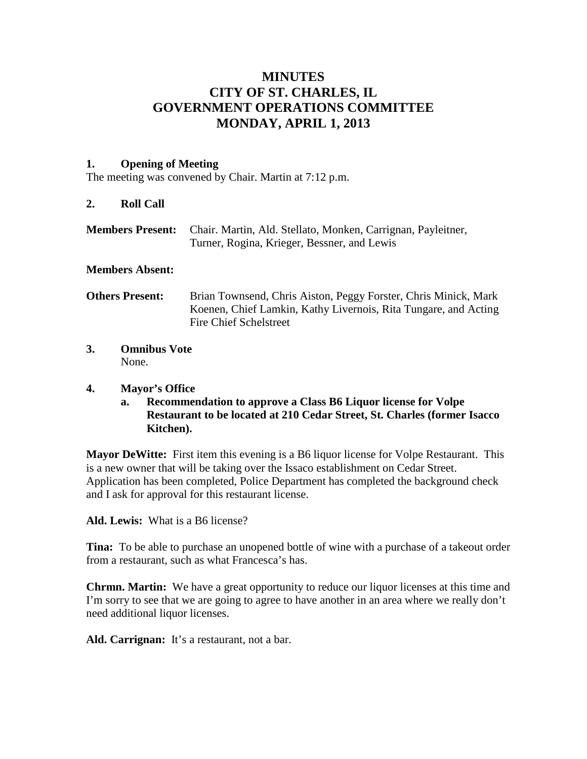# **MINUTES CITY OF ST. CHARLES, IL GOVERNMENT OPERATIONS COMMITTEE MONDAY, APRIL 1, 2013**

#### **1. Opening of Meeting**

The meeting was convened by Chair. Martin at 7:12 p.m.

#### **2. Roll Call**

**Members Present:** Chair. Martin, Ald. Stellato, Monken, Carrignan, Payleitner, Turner, Rogina, Krieger, Bessner, and Lewis

#### **Members Absent:**

- **Others Present:** Brian Townsend, Chris Aiston, Peggy Forster, Chris Minick, Mark Koenen, Chief Lamkin, Kathy Livernois, Rita Tungare, and Acting Fire Chief Schelstreet
- **3. Omnibus Vote** None.

#### **4. Mayor's Office**

**a. Recommendation to approve a Class B6 Liquor license for Volpe Restaurant to be located at 210 Cedar Street, St. Charles (former Isacco Kitchen).**

**Mayor DeWitte:** First item this evening is a B6 liquor license for Volpe Restaurant. This is a new owner that will be taking over the Issaco establishment on Cedar Street. Application has been completed, Police Department has completed the background check and I ask for approval for this restaurant license.

**Ald. Lewis:** What is a B6 license?

**Tina:** To be able to purchase an unopened bottle of wine with a purchase of a takeout order from a restaurant, such as what Francesca's has.

**Chrmn. Martin:** We have a great opportunity to reduce our liquor licenses at this time and I'm sorry to see that we are going to agree to have another in an area where we really don't need additional liquor licenses.

**Ald. Carrignan:** It's a restaurant, not a bar.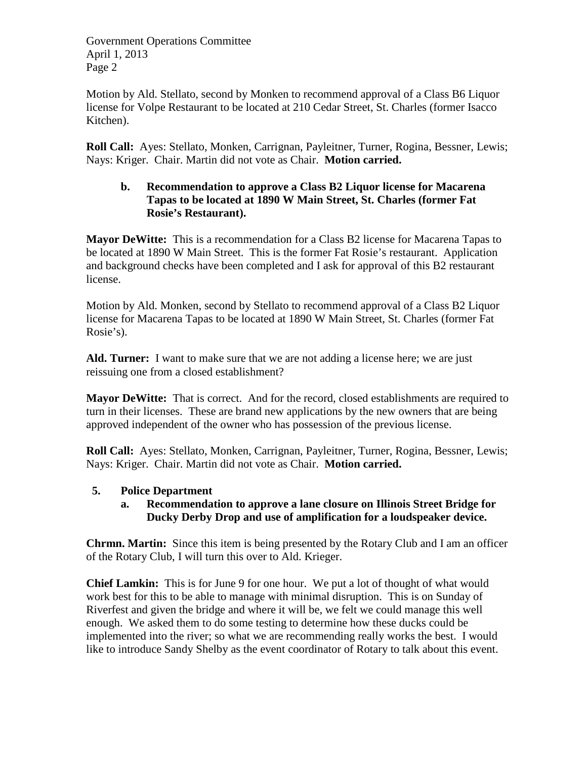Motion by Ald. Stellato, second by Monken to recommend approval of a Class B6 Liquor license for Volpe Restaurant to be located at 210 Cedar Street, St. Charles (former Isacco Kitchen).

**Roll Call:** Ayes: Stellato, Monken, Carrignan, Payleitner, Turner, Rogina, Bessner, Lewis; Nays: Kriger. Chair. Martin did not vote as Chair. **Motion carried.**

# **b. Recommendation to approve a Class B2 Liquor license for Macarena Tapas to be located at 1890 W Main Street, St. Charles (former Fat Rosie's Restaurant).**

**Mayor DeWitte:** This is a recommendation for a Class B2 license for Macarena Tapas to be located at 1890 W Main Street. This is the former Fat Rosie's restaurant. Application and background checks have been completed and I ask for approval of this B2 restaurant license.

Motion by Ald. Monken, second by Stellato to recommend approval of a Class B2 Liquor license for Macarena Tapas to be located at 1890 W Main Street, St. Charles (former Fat Rosie's).

**Ald. Turner:** I want to make sure that we are not adding a license here; we are just reissuing one from a closed establishment?

**Mayor DeWitte:** That is correct. And for the record, closed establishments are required to turn in their licenses. These are brand new applications by the new owners that are being approved independent of the owner who has possession of the previous license.

**Roll Call:** Ayes: Stellato, Monken, Carrignan, Payleitner, Turner, Rogina, Bessner, Lewis; Nays: Kriger. Chair. Martin did not vote as Chair. **Motion carried.**

# **5. Police Department**

# **a. Recommendation to approve a lane closure on Illinois Street Bridge for Ducky Derby Drop and use of amplification for a loudspeaker device.**

**Chrmn. Martin:** Since this item is being presented by the Rotary Club and I am an officer of the Rotary Club, I will turn this over to Ald. Krieger.

**Chief Lamkin:** This is for June 9 for one hour. We put a lot of thought of what would work best for this to be able to manage with minimal disruption. This is on Sunday of Riverfest and given the bridge and where it will be, we felt we could manage this well enough. We asked them to do some testing to determine how these ducks could be implemented into the river; so what we are recommending really works the best. I would like to introduce Sandy Shelby as the event coordinator of Rotary to talk about this event.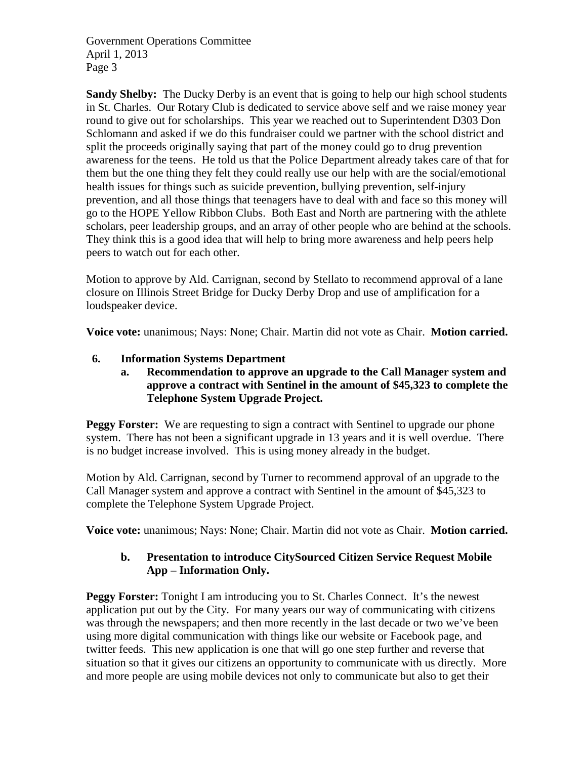**Sandy Shelby:** The Ducky Derby is an event that is going to help our high school students in St. Charles. Our Rotary Club is dedicated to service above self and we raise money year round to give out for scholarships. This year we reached out to Superintendent D303 Don Schlomann and asked if we do this fundraiser could we partner with the school district and split the proceeds originally saying that part of the money could go to drug prevention awareness for the teens. He told us that the Police Department already takes care of that for them but the one thing they felt they could really use our help with are the social/emotional health issues for things such as suicide prevention, bullying prevention, self-injury prevention, and all those things that teenagers have to deal with and face so this money will go to the HOPE Yellow Ribbon Clubs. Both East and North are partnering with the athlete scholars, peer leadership groups, and an array of other people who are behind at the schools. They think this is a good idea that will help to bring more awareness and help peers help peers to watch out for each other.

Motion to approve by Ald. Carrignan, second by Stellato to recommend approval of a lane closure on Illinois Street Bridge for Ducky Derby Drop and use of amplification for a loudspeaker device.

**Voice vote:** unanimous; Nays: None; Chair. Martin did not vote as Chair. **Motion carried.**

# **6. Information Systems Department**

#### **a. Recommendation to approve an upgrade to the Call Manager system and approve a contract with Sentinel in the amount of \$45,323 to complete the Telephone System Upgrade Project.**

**Peggy Forster:** We are requesting to sign a contract with Sentinel to upgrade our phone system. There has not been a significant upgrade in 13 years and it is well overdue. There is no budget increase involved. This is using money already in the budget.

Motion by Ald. Carrignan, second by Turner to recommend approval of an upgrade to the Call Manager system and approve a contract with Sentinel in the amount of \$45,323 to complete the Telephone System Upgrade Project.

**Voice vote:** unanimous; Nays: None; Chair. Martin did not vote as Chair. **Motion carried.**

# **b. Presentation to introduce CitySourced Citizen Service Request Mobile App – Information Only.**

**Peggy Forster:** Tonight I am introducing you to St. Charles Connect. It's the newest application put out by the City. For many years our way of communicating with citizens was through the newspapers; and then more recently in the last decade or two we've been using more digital communication with things like our website or Facebook page, and twitter feeds. This new application is one that will go one step further and reverse that situation so that it gives our citizens an opportunity to communicate with us directly. More and more people are using mobile devices not only to communicate but also to get their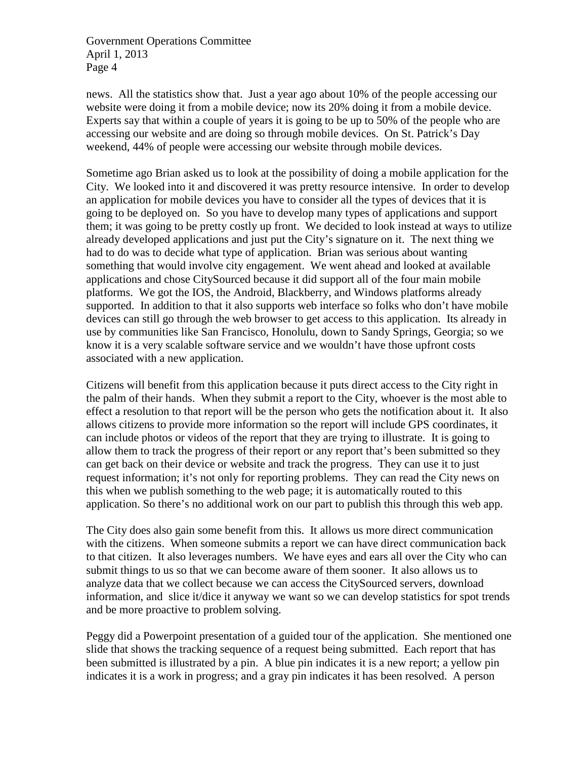news. All the statistics show that. Just a year ago about 10% of the people accessing our website were doing it from a mobile device; now its 20% doing it from a mobile device. Experts say that within a couple of years it is going to be up to 50% of the people who are accessing our website and are doing so through mobile devices. On St. Patrick's Day weekend, 44% of people were accessing our website through mobile devices.

Sometime ago Brian asked us to look at the possibility of doing a mobile application for the City. We looked into it and discovered it was pretty resource intensive. In order to develop an application for mobile devices you have to consider all the types of devices that it is going to be deployed on. So you have to develop many types of applications and support them; it was going to be pretty costly up front. We decided to look instead at ways to utilize already developed applications and just put the City's signature on it. The next thing we had to do was to decide what type of application. Brian was serious about wanting something that would involve city engagement. We went ahead and looked at available applications and chose CitySourced because it did support all of the four main mobile platforms. We got the IOS, the Android, Blackberry, and Windows platforms already supported. In addition to that it also supports web interface so folks who don't have mobile devices can still go through the web browser to get access to this application. Its already in use by communities like San Francisco, Honolulu, down to Sandy Springs, Georgia; so we know it is a very scalable software service and we wouldn't have those upfront costs associated with a new application.

Citizens will benefit from this application because it puts direct access to the City right in the palm of their hands. When they submit a report to the City, whoever is the most able to effect a resolution to that report will be the person who gets the notification about it. It also allows citizens to provide more information so the report will include GPS coordinates, it can include photos or videos of the report that they are trying to illustrate. It is going to allow them to track the progress of their report or any report that's been submitted so they can get back on their device or website and track the progress. They can use it to just request information; it's not only for reporting problems. They can read the City news on this when we publish something to the web page; it is automatically routed to this application. So there's no additional work on our part to publish this through this web app.

The City does also gain some benefit from this. It allows us more direct communication with the citizens. When someone submits a report we can have direct communication back to that citizen. It also leverages numbers. We have eyes and ears all over the City who can submit things to us so that we can become aware of them sooner. It also allows us to analyze data that we collect because we can access the CitySourced servers, download information, and slice it/dice it anyway we want so we can develop statistics for spot trends and be more proactive to problem solving.

Peggy did a Powerpoint presentation of a guided tour of the application. She mentioned one slide that shows the tracking sequence of a request being submitted. Each report that has been submitted is illustrated by a pin. A blue pin indicates it is a new report; a yellow pin indicates it is a work in progress; and a gray pin indicates it has been resolved. A person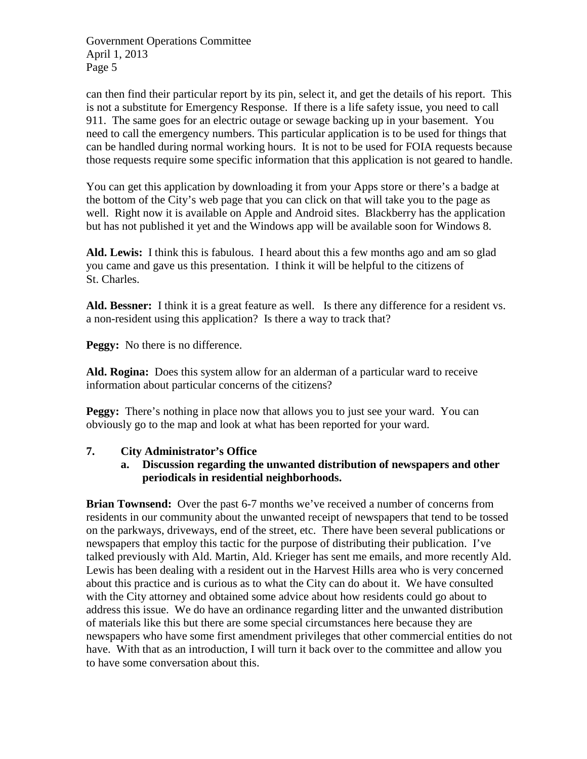can then find their particular report by its pin, select it, and get the details of his report. This is not a substitute for Emergency Response. If there is a life safety issue, you need to call 911. The same goes for an electric outage or sewage backing up in your basement. You need to call the emergency numbers. This particular application is to be used for things that can be handled during normal working hours. It is not to be used for FOIA requests because those requests require some specific information that this application is not geared to handle.

You can get this application by downloading it from your Apps store or there's a badge at the bottom of the City's web page that you can click on that will take you to the page as well. Right now it is available on Apple and Android sites. Blackberry has the application but has not published it yet and the Windows app will be available soon for Windows 8.

**Ald. Lewis:** I think this is fabulous. I heard about this a few months ago and am so glad you came and gave us this presentation. I think it will be helpful to the citizens of St. Charles.

**Ald. Bessner:** I think it is a great feature as well. Is there any difference for a resident vs. a non-resident using this application? Is there a way to track that?

**Peggy:** No there is no difference.

**Ald. Rogina:** Does this system allow for an alderman of a particular ward to receive information about particular concerns of the citizens?

**Peggy:** There's nothing in place now that allows you to just see your ward. You can obviously go to the map and look at what has been reported for your ward.

# **7. City Administrator's Office**

#### **a. Discussion regarding the unwanted distribution of newspapers and other periodicals in residential neighborhoods.**

**Brian Townsend:** Over the past 6-7 months we've received a number of concerns from residents in our community about the unwanted receipt of newspapers that tend to be tossed on the parkways, driveways, end of the street, etc. There have been several publications or newspapers that employ this tactic for the purpose of distributing their publication. I've talked previously with Ald. Martin, Ald. Krieger has sent me emails, and more recently Ald. Lewis has been dealing with a resident out in the Harvest Hills area who is very concerned about this practice and is curious as to what the City can do about it. We have consulted with the City attorney and obtained some advice about how residents could go about to address this issue. We do have an ordinance regarding litter and the unwanted distribution of materials like this but there are some special circumstances here because they are newspapers who have some first amendment privileges that other commercial entities do not have. With that as an introduction, I will turn it back over to the committee and allow you to have some conversation about this.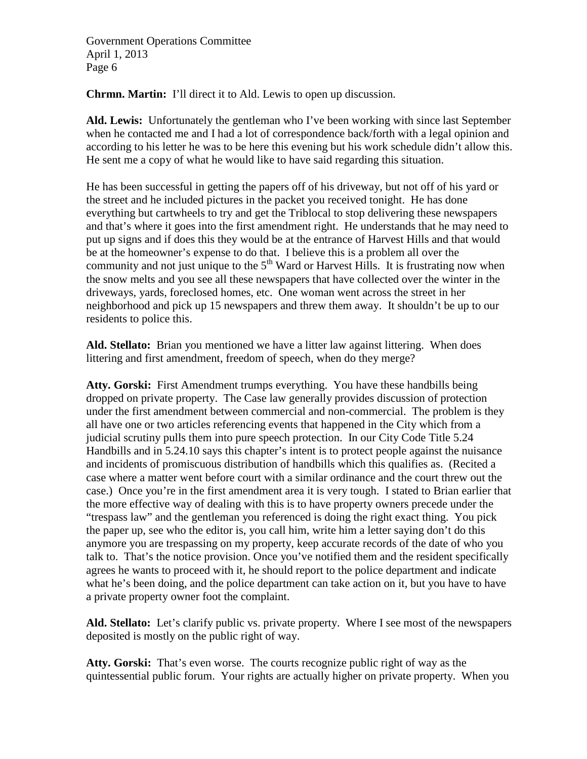**Chrmn. Martin:** I'll direct it to Ald. Lewis to open up discussion.

**Ald. Lewis:** Unfortunately the gentleman who I've been working with since last September when he contacted me and I had a lot of correspondence back/forth with a legal opinion and according to his letter he was to be here this evening but his work schedule didn't allow this. He sent me a copy of what he would like to have said regarding this situation.

He has been successful in getting the papers off of his driveway, but not off of his yard or the street and he included pictures in the packet you received tonight. He has done everything but cartwheels to try and get the Triblocal to stop delivering these newspapers and that's where it goes into the first amendment right. He understands that he may need to put up signs and if does this they would be at the entrance of Harvest Hills and that would be at the homeowner's expense to do that. I believe this is a problem all over the community and not just unique to the  $5<sup>th</sup>$  Ward or Harvest Hills. It is frustrating now when the snow melts and you see all these newspapers that have collected over the winter in the driveways, yards, foreclosed homes, etc. One woman went across the street in her neighborhood and pick up 15 newspapers and threw them away. It shouldn't be up to our residents to police this.

**Ald. Stellato:** Brian you mentioned we have a litter law against littering. When does littering and first amendment, freedom of speech, when do they merge?

Atty. Gorski: First Amendment trumps everything. You have these handbills being dropped on private property. The Case law generally provides discussion of protection under the first amendment between commercial and non-commercial. The problem is they all have one or two articles referencing events that happened in the City which from a judicial scrutiny pulls them into pure speech protection. In our City Code Title 5.24 Handbills and in 5.24.10 says this chapter's intent is to protect people against the nuisance and incidents of promiscuous distribution of handbills which this qualifies as. (Recited a case where a matter went before court with a similar ordinance and the court threw out the case.) Once you're in the first amendment area it is very tough. I stated to Brian earlier that the more effective way of dealing with this is to have property owners precede under the "trespass law" and the gentleman you referenced is doing the right exact thing. You pick the paper up, see who the editor is, you call him, write him a letter saying don't do this anymore you are trespassing on my property, keep accurate records of the date of who you talk to. That's the notice provision. Once you've notified them and the resident specifically agrees he wants to proceed with it, he should report to the police department and indicate what he's been doing, and the police department can take action on it, but you have to have a private property owner foot the complaint.

**Ald. Stellato:** Let's clarify public vs. private property. Where I see most of the newspapers deposited is mostly on the public right of way.

**Atty. Gorski:** That's even worse. The courts recognize public right of way as the quintessential public forum. Your rights are actually higher on private property. When you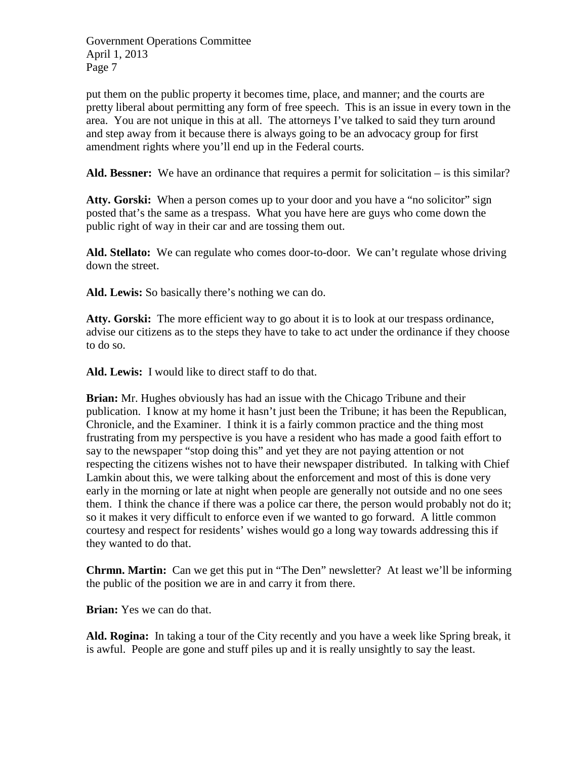put them on the public property it becomes time, place, and manner; and the courts are pretty liberal about permitting any form of free speech. This is an issue in every town in the area. You are not unique in this at all. The attorneys I've talked to said they turn around and step away from it because there is always going to be an advocacy group for first amendment rights where you'll end up in the Federal courts.

Ald. Bessner: We have an ordinance that requires a permit for solicitation – is this similar?

Atty. Gorski: When a person comes up to your door and you have a "no solicitor" sign posted that's the same as a trespass. What you have here are guys who come down the public right of way in their car and are tossing them out.

Ald. Stellato: We can regulate who comes door-to-door. We can't regulate whose driving down the street.

**Ald. Lewis:** So basically there's nothing we can do.

**Atty. Gorski:** The more efficient way to go about it is to look at our trespass ordinance, advise our citizens as to the steps they have to take to act under the ordinance if they choose to do so.

**Ald. Lewis:** I would like to direct staff to do that.

**Brian:** Mr. Hughes obviously has had an issue with the Chicago Tribune and their publication. I know at my home it hasn't just been the Tribune; it has been the Republican, Chronicle, and the Examiner. I think it is a fairly common practice and the thing most frustrating from my perspective is you have a resident who has made a good faith effort to say to the newspaper "stop doing this" and yet they are not paying attention or not respecting the citizens wishes not to have their newspaper distributed. In talking with Chief Lamkin about this, we were talking about the enforcement and most of this is done very early in the morning or late at night when people are generally not outside and no one sees them. I think the chance if there was a police car there, the person would probably not do it; so it makes it very difficult to enforce even if we wanted to go forward. A little common courtesy and respect for residents' wishes would go a long way towards addressing this if they wanted to do that.

**Chrmn. Martin:** Can we get this put in "The Den" newsletter? At least we'll be informing the public of the position we are in and carry it from there.

**Brian:** Yes we can do that.

**Ald. Rogina:** In taking a tour of the City recently and you have a week like Spring break, it is awful. People are gone and stuff piles up and it is really unsightly to say the least.